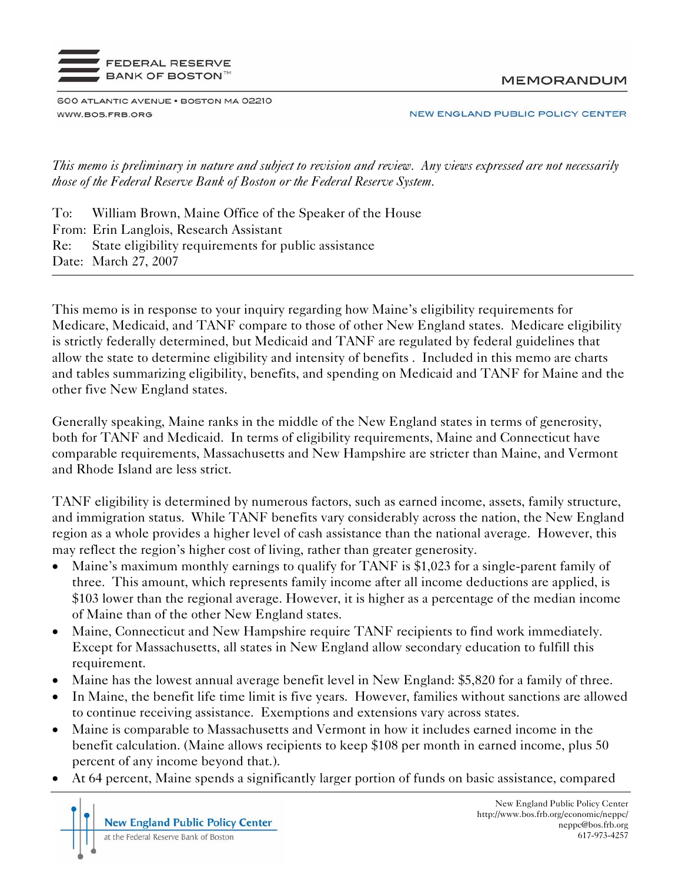

**MEMORANDUM** 

600 ATLANTIC AVENUE . BOSTON MA 02210 WWW.BOS.FRB.ORG

NEW ENGLAND PUBLIC POLICY CENTER

*This memo is preliminary in nature and subject to revision and review. Any views expressed are not necessarily those of the Federal Reserve Bank of Boston or the Federal Reserve System.* 

To: William Brown, Maine Office of the Speaker of the House From: Erin Langlois, Research Assistant Re: State eligibility requirements for public assistance Date: March 27, 2007

This memo is in response to your inquiry regarding how Maine's eligibility requirements for Medicare, Medicaid, and TANF compare to those of other New England states. Medicare eligibility is strictly federally determined, but Medicaid and TANF are regulated by federal guidelines that allow the state to determine eligibility and intensity of benefits . Included in this memo are charts and tables summarizing eligibility, benefits, and spending on Medicaid and TANF for Maine and the other five New England states.

Generally speaking, Maine ranks in the middle of the New England states in terms of generosity, both for TANF and Medicaid. In terms of eligibility requirements, Maine and Connecticut have comparable requirements, Massachusetts and New Hampshire are stricter than Maine, and Vermont and Rhode Island are less strict.

TANF eligibility is determined by numerous factors, such as earned income, assets, family structure, and immigration status. While TANF benefits vary considerably across the nation, the New England region as a whole provides a higher level of cash assistance than the national average. However, this may reflect the region's higher cost of living, rather than greater generosity.

- Maine's maximum monthly earnings to qualify for TANF is \$1,023 for a single-parent family of three. This amount, which represents family income after all income deductions are applied, is \$103 lower than the regional average. However, it is higher as a percentage of the median income of Maine than of the other New England states.
- Maine, Connecticut and New Hampshire require TANF recipients to find work immediately. Except for Massachusetts, all states in New England allow secondary education to fulfill this requirement.
- Maine has the lowest annual average benefit level in New England: \$5,820 for a family of three.
- In Maine, the benefit life time limit is five years. However, families without sanctions are allowed to continue receiving assistance. Exemptions and extensions vary across states.
- Maine is comparable to Massachusetts and Vermont in how it includes earned income in the benefit calculation. (Maine allows recipients to keep \$108 per month in earned income, plus 50 percent of any income beyond that.).
- At 64 percent, Maine spends a significantly larger portion of funds on basic assistance, compared

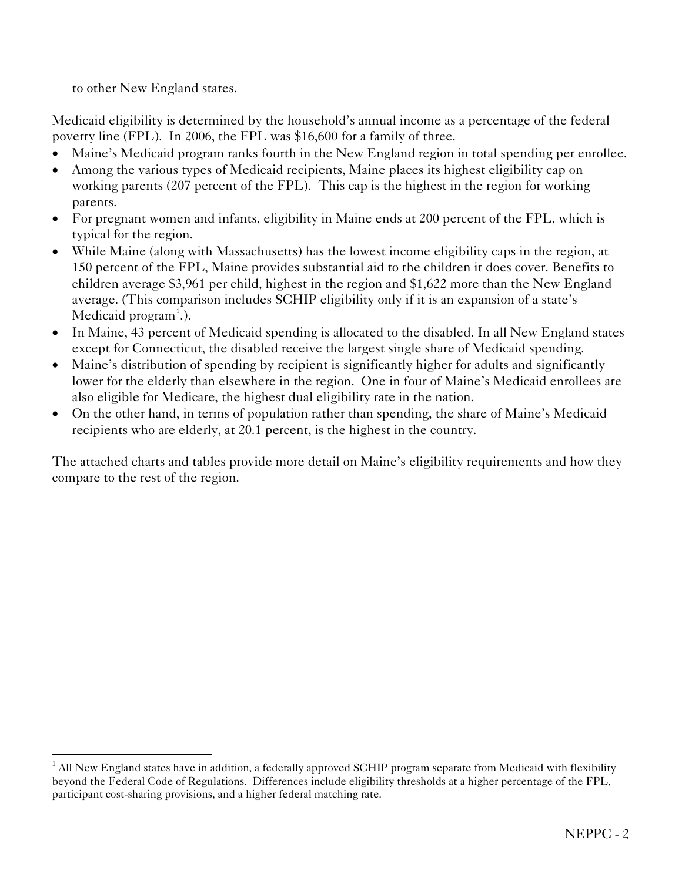to other New England states.

<u>.</u>

Medicaid eligibility is determined by the household's annual income as a percentage of the federal poverty line (FPL). In 2006, the FPL was \$16,600 for a family of three.

- Maine's Medicaid program ranks fourth in the New England region in total spending per enrollee.
- Among the various types of Medicaid recipients, Maine places its highest eligibility cap on working parents (207 percent of the FPL). This cap is the highest in the region for working parents.
- For pregnant women and infants, eligibility in Maine ends at 200 percent of the FPL, which is typical for the region.
- While Maine (along with Massachusetts) has the lowest income eligibility caps in the region, at 150 percent of the FPL, Maine provides substantial aid to the children it does cover. Benefits to children average \$3,961 per child, highest in the region and \$1,622 more than the New England average. (This comparison includes SCHIP eligibility only if it is an expansion of a state's Medicaid program<sup>[1](#page-1-0)</sup>.).
- In Maine, 43 percent of Medicaid spending is allocated to the disabled. In all New England states except for Connecticut, the disabled receive the largest single share of Medicaid spending.
- Maine's distribution of spending by recipient is significantly higher for adults and significantly lower for the elderly than elsewhere in the region. One in four of Maine's Medicaid enrollees are also eligible for Medicare, the highest dual eligibility rate in the nation.
- On the other hand, in terms of population rather than spending, the share of Maine's Medicaid recipients who are elderly, at 20.1 percent, is the highest in the country.

The attached charts and tables provide more detail on Maine's eligibility requirements and how they compare to the rest of the region.

<span id="page-1-0"></span> $<sup>1</sup>$  All New England states have in addition, a federally approved SCHIP program separate from Medicaid with flexibility</sup> beyond the Federal Code of Regulations. Differences include eligibility thresholds at a higher percentage of the FPL, participant cost-sharing provisions, and a higher federal matching rate.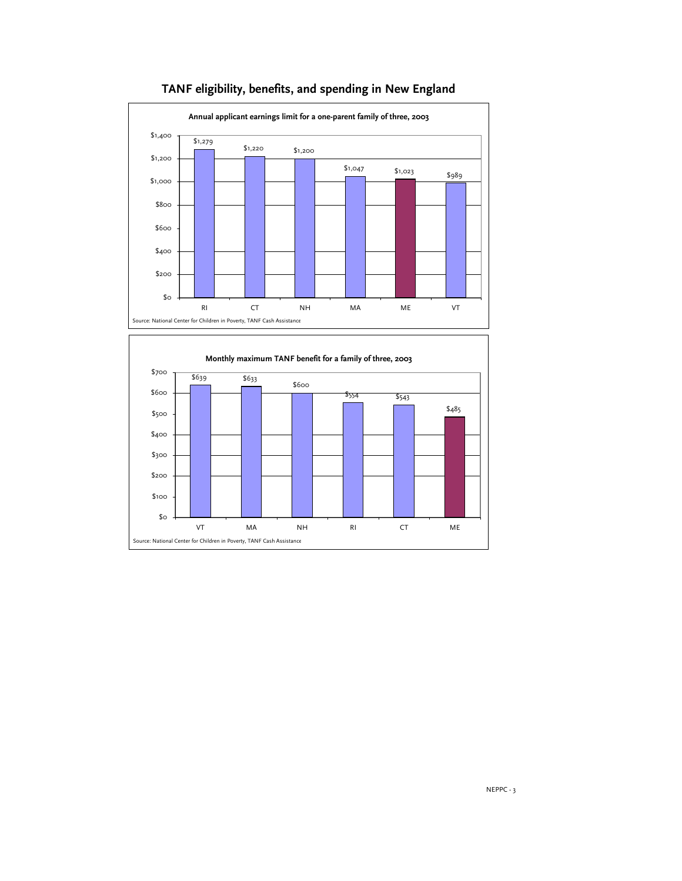

# **TANF eligibility, benefits, and spending in New England**

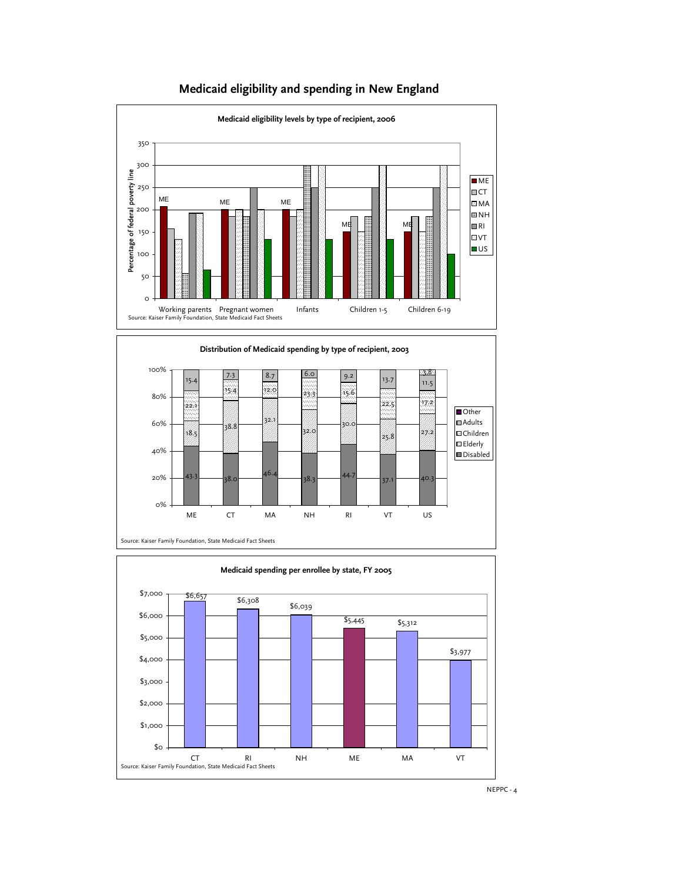

# **Medicaid eligibility and spending in New England**





NEPPC - 4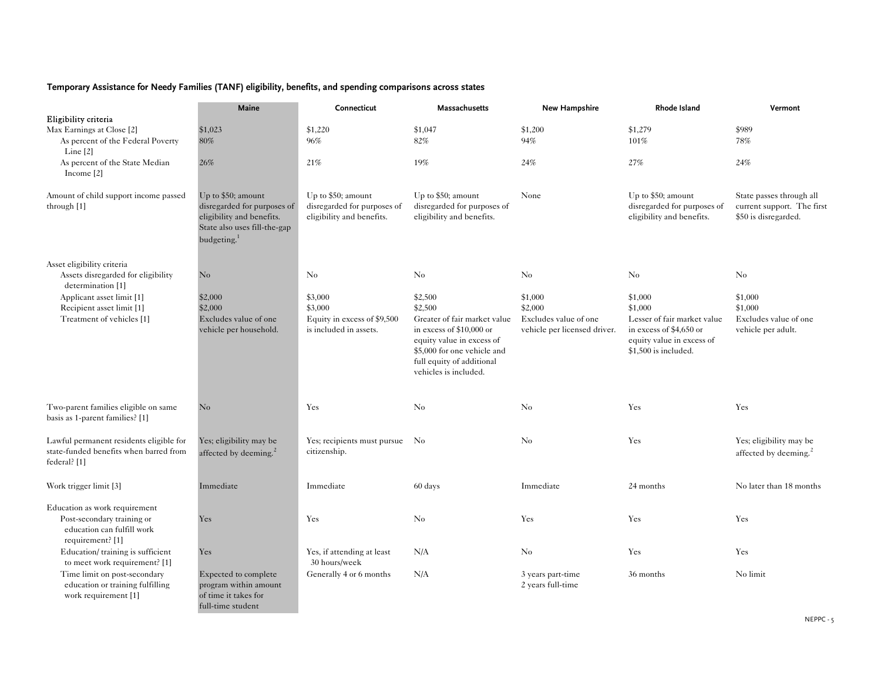### **Temporary Assistance for Needy Families (TANF) eligibility, benefits, and spending comparisons across states**

|                                                                                                     | Maine                                                                                                                                     | Connecticut                                                                    | Massachusetts                                                                                                                                                               | <b>New Hampshire</b>                                  | Rhode Island                                                                                                | Vermont                                                                        |
|-----------------------------------------------------------------------------------------------------|-------------------------------------------------------------------------------------------------------------------------------------------|--------------------------------------------------------------------------------|-----------------------------------------------------------------------------------------------------------------------------------------------------------------------------|-------------------------------------------------------|-------------------------------------------------------------------------------------------------------------|--------------------------------------------------------------------------------|
| Eligibility criteria                                                                                |                                                                                                                                           |                                                                                |                                                                                                                                                                             |                                                       |                                                                                                             |                                                                                |
| Max Earnings at Close [2]                                                                           | \$1,023                                                                                                                                   | \$1,220                                                                        | \$1,047                                                                                                                                                                     | \$1,200                                               | \$1,279                                                                                                     | \$989                                                                          |
| As percent of the Federal Poverty<br>Line $[2]$                                                     | $80\%$                                                                                                                                    | 96%                                                                            | 82%                                                                                                                                                                         | 94%                                                   | 101%                                                                                                        | 78%                                                                            |
| As percent of the State Median<br>Income [2]                                                        | 26%                                                                                                                                       | 21%                                                                            | 19%                                                                                                                                                                         | 24%                                                   | 27%                                                                                                         | 24%                                                                            |
| Amount of child support income passed<br>through [1]                                                | Up to \$50; amount<br>disregarded for purposes of<br>eligibility and benefits.<br>State also uses fill-the-gap<br>budgeting. <sup>1</sup> | Up to \$50; amount<br>disregarded for purposes of<br>eligibility and benefits. | Up to \$50; amount<br>disregarded for purposes of<br>eligibility and benefits.                                                                                              | None                                                  | Up to \$50; amount<br>disregarded for purposes of<br>eligibility and benefits.                              | State passes through all<br>current support. The first<br>\$50 is disregarded. |
| Asset eligibility criteria                                                                          |                                                                                                                                           |                                                                                |                                                                                                                                                                             |                                                       |                                                                                                             |                                                                                |
| Assets disregarded for eligibility<br>determination [1]                                             | $\rm No$                                                                                                                                  | $\rm No$                                                                       | $\rm No$                                                                                                                                                                    | $\rm No$                                              | $\rm No$                                                                                                    | No                                                                             |
| Applicant asset limit [1]                                                                           | \$2,000                                                                                                                                   | \$3,000                                                                        | \$2,500                                                                                                                                                                     | \$1,000                                               | \$1,000                                                                                                     | \$1,000                                                                        |
| Recipient asset limit [1]                                                                           | \$2,000                                                                                                                                   | \$3,000                                                                        | \$2,500                                                                                                                                                                     | \$2,000                                               | \$1,000                                                                                                     | \$1,000                                                                        |
| Treatment of vehicles [1]                                                                           | Excludes value of one<br>vehicle per household.                                                                                           | Equity in excess of \$9,500<br>is included in assets.                          | Greater of fair market value<br>in excess of $$10,000$ or<br>equity value in excess of<br>\$5,000 for one vehicle and<br>full equity of additional<br>vehicles is included. | Excludes value of one<br>vehicle per licensed driver. | Lesser of fair market value<br>in excess of \$4,650 or<br>equity value in excess of<br>\$1,500 is included. | Excludes value of one<br>vehicle per adult.                                    |
| Two-parent families eligible on same<br>basis as 1-parent families? [1]                             | No                                                                                                                                        | Yes                                                                            | No                                                                                                                                                                          | No                                                    | Yes                                                                                                         | Yes                                                                            |
| Lawful permanent residents eligible for<br>state-funded benefits when barred from<br>federal? $[1]$ | Yes; eligibility may be<br>affected by deeming. <sup>2</sup>                                                                              | Yes; recipients must pursue No<br>citizenship.                                 |                                                                                                                                                                             | $\rm No$                                              | Yes                                                                                                         | Yes; eligibility may be<br>affected by deeming. <sup>2</sup>                   |
| Work trigger limit [3]                                                                              | Immediate                                                                                                                                 | Immediate                                                                      | 60 days                                                                                                                                                                     | Immediate                                             | 24 months                                                                                                   | No later than 18 months                                                        |
| Education as work requirement                                                                       |                                                                                                                                           |                                                                                |                                                                                                                                                                             |                                                       |                                                                                                             |                                                                                |
| Post-secondary training or<br>education can fulfill work<br>requirement? [1]                        | Yes                                                                                                                                       | Yes                                                                            | No                                                                                                                                                                          | Yes                                                   | Yes                                                                                                         | Yes                                                                            |
| Education/training is sufficient<br>to meet work requirement? [1]                                   | Yes                                                                                                                                       | Yes, if attending at least<br>30 hours/week                                    | N/A                                                                                                                                                                         | $\rm No$                                              | Yes                                                                                                         | Yes                                                                            |
| Time limit on post-secondary<br>education or training fulfilling<br>work requirement [1]            | Expected to complete<br>program within amount<br>of time it takes for<br>full-time student                                                | Generally 4 or 6 months                                                        | N/A                                                                                                                                                                         | 3 years part-time<br>2 years full-time                | 36 months                                                                                                   | No limit                                                                       |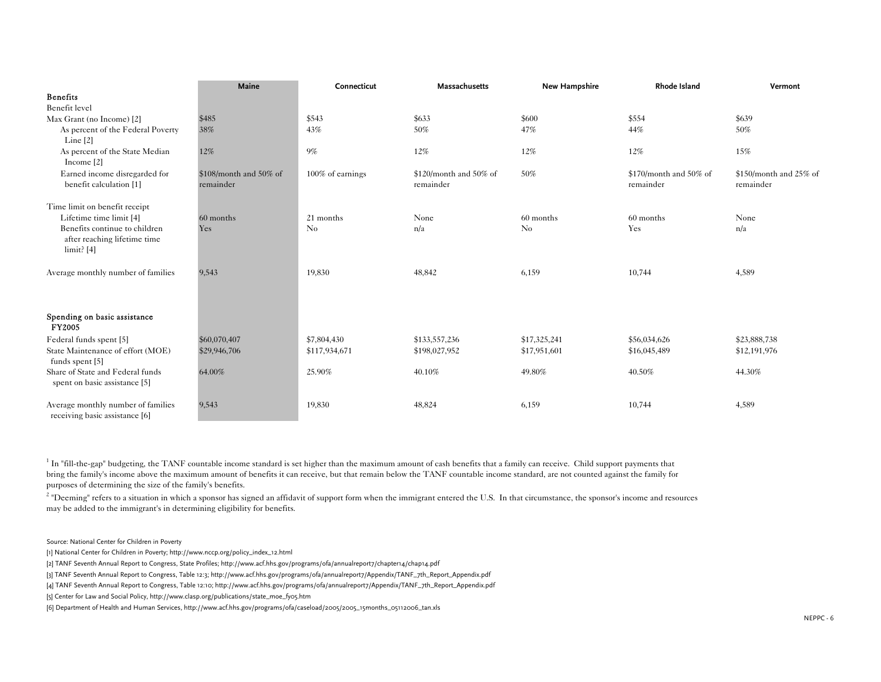|                                                                             | Maine                  | Connecticut      | Massachusetts          | New Hampshire | Rhode Island           | Vermont                |
|-----------------------------------------------------------------------------|------------------------|------------------|------------------------|---------------|------------------------|------------------------|
| <b>Benefits</b>                                                             |                        |                  |                        |               |                        |                        |
| Benefit level                                                               |                        |                  |                        |               |                        |                        |
| Max Grant (no Income) [2]                                                   | \$485                  | \$543            | \$633                  | \$600         | \$554                  | \$639                  |
| As percent of the Federal Poverty                                           | 38%                    | 43%              | 50%                    | 47%           | 44%                    | 50%                    |
| Line $[2]$                                                                  |                        |                  |                        |               |                        |                        |
| As percent of the State Median<br>Income $[2]$                              | 12%                    | 9%               | 12%                    | 12%           | 12%                    | 15%                    |
| Earned income disregarded for                                               | \$108/month and 50% of | 100% of earnings | \$120/month and 50% of | 50%           | \$170/month and 50% of | \$150/month and 25% of |
| benefit calculation [1]                                                     | remainder              |                  | remainder              |               | remainder              | remainder              |
| Time limit on benefit receipt                                               |                        |                  |                        |               |                        |                        |
| Lifetime time limit [4]                                                     | 60 months              | 21 months        | None                   | 60 months     | 60 months              | None                   |
| Benefits continue to children<br>after reaching lifetime time<br>limit? [4] | Yes                    | $\rm No$         | n/a                    | $\rm No$      | Yes                    | n/a                    |
| Average monthly number of families                                          | 9.543                  | 19,830           | 48,842                 | 6,159         | 10,744                 | 4,589                  |
| Spending on basic assistance<br><b>FY2005</b>                               |                        |                  |                        |               |                        |                        |
| Federal funds spent [5]                                                     | \$60,070,407           | \$7,804,430      | \$133,557,236          | \$17,325,241  | \$56,034,626           | \$23,888,738           |
| State Maintenance of effort (MOE)<br>funds spent [5]                        | \$29,946,706           | \$117,934,671    | \$198,027,952          | \$17,951,601  | \$16,045,489           | \$12,191,976           |
| Share of State and Federal funds<br>spent on basic assistance [5]           | 64.00%                 | 25.90%           | 40.10%                 | 49.80%        | 40.50%                 | 44.30%                 |
| Average monthly number of families<br>receiving basic assistance [6]        | 9,543                  | 19,830           | 48,824                 | 6,159         | 10,744                 | 4,589                  |

 $1$  In "fill-the-gap" budgeting, the TANF countable income standard is set higher than the maximum amount of cash benefits that a family can receive. Child support payments that bring the family's income above the maximum amount of benefits it can receive, but that remain below the TANF countable income standard, are not counted against the family for purposes of determining the size of the family's benefits.

 $2$  "Deeming" refers to a situation in which a sponsor has signed an affidavit of support form when the immigrant entered the U.S. In that circumstance, the sponsor's income and resources may be added to the immigrant's in determining eligibility for benefits.

Source: National Center for Children in Poverty

[1] National Center for Children in Poverty; http://www.nccp.org/policy\_index\_12.html

[2] TANF Seventh Annual Report to Congress, State Profiles; http://www.acf.hhs.gov/programs/ofa/annualreport7/chapter14/chap14.pdf

[3] TANF Seventh Annual Report to Congress, Table 12:3; http://www.acf.hhs.gov/programs/ofa/annualreport7/Appendix/TANF\_7th\_Report\_Appendix.pdf

[4] TANF Seventh Annual Report to Congress, Table 12:10; http://www.acf.hhs.gov/programs/ofa/annualreport7/Appendix/TANF\_7th\_Report\_Appendix.pdf

[5] Center for Law and Social Policy, http://www.clasp.org/publications/state\_moe\_fy05.htm

[6] Department of Health and Human Services, http://www.acf.hhs.gov/programs/ofa/caseload/2005/2005\_15months\_05112006\_tan.xls